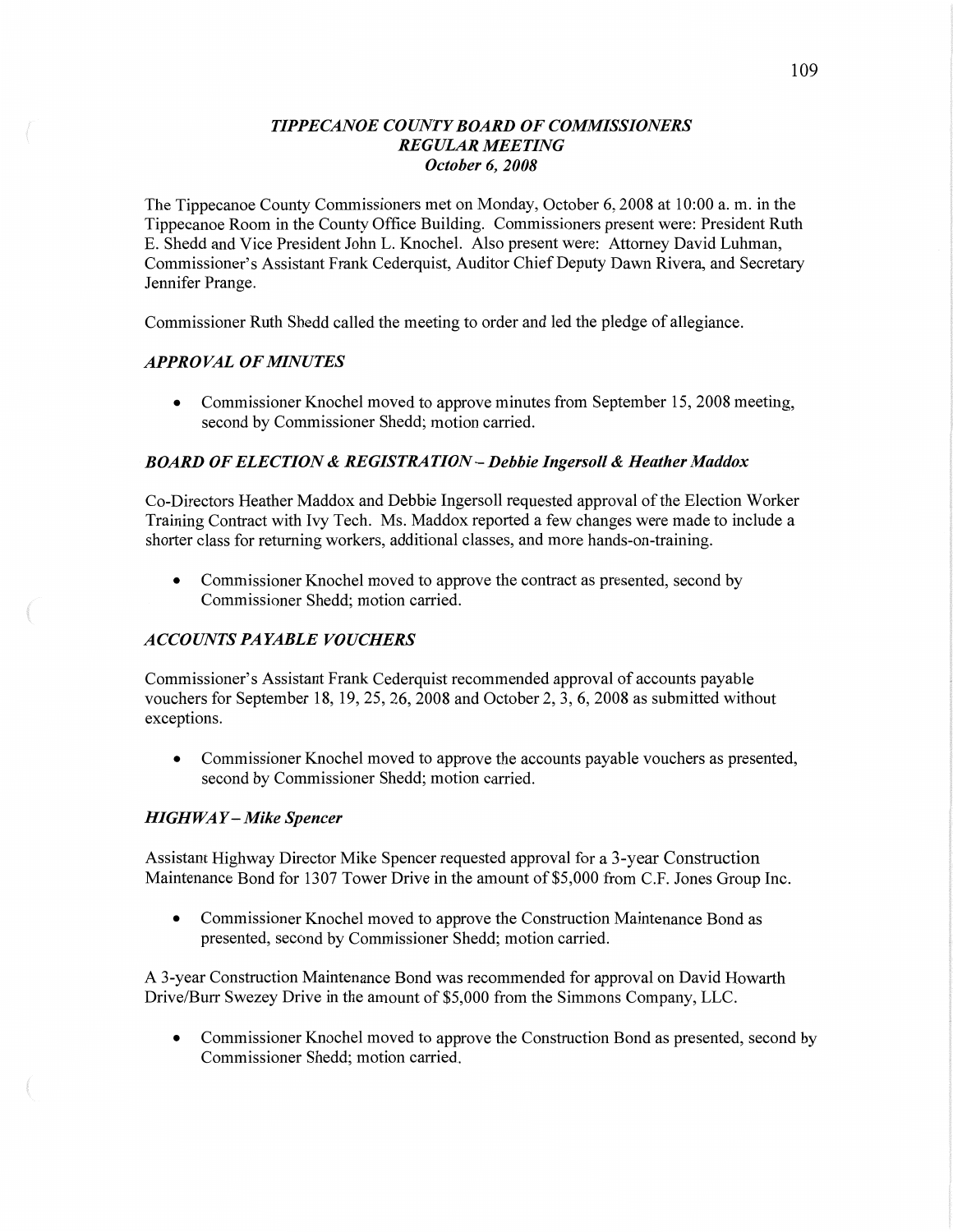## *T IPPECANOE COUNT Y BOARD* OF *COMMISSIONERS*   $REGULAR MEETING$ *October* 6, *2008*

The Tippecanoe County Commissioners met on Monday, October 6, 2008 at **10:00** a. m. in the Tippecanoe Room in the County Office Building. Commissioners present were: President Ruth B. Shedd and Vice President John L. Knochel. **Also** present were: Attorney David Luhman, Commissioner's Assistant Frank Cederquist, Auditor Chief Deputy Dawn Rivera, and Secretary Jennifer Prange.

Commissioner Ruth Shedd called the meeting to order and led the pledge of allegiance.

## *APPROVAL* OF *MINUTES*

**0** Commissioner Knochel moved to approve minutes from September 15, 2008 meeting, second by Commissioner Shedd; motion carried.

# *BOARD* OF *ELECTION & REGISTRATION* **—** *Debbie Ingersoll & Heather Maddox*

Co-Directors Heather Maddox and Debbie Ingersoll requested approval of the Election Worker Training Contract with Ivy Tech. Ms. **Maddox** reported **a** few changes were **made** to include <sup>a</sup> shorter class for returning workers, additional classes, and more hands-on—training.

**0** Commissioner Knochel moved to approve the contract as presented, second by Commissioner Shedd; motion carried.

# *ACCOUNTS* PA *YABLE VOUCHERS*

Commissioner's Assistant Frank Cederquist recommended approval of accounts payable vouchers for September 18, 19, 25, 26, 2008 and October 2, 3, 6, 2008 as submitted without exceptions.

**0** Commissioner Knochel moved to approve the accounts payable vouchers as presented, second by Commissioner Shedd; motion carried.

#### *HIGHWA Y* **—** *Mike Spencer*

Assistant Highway Director Mike **Spencer** requested approval for **a** 3-year Construction Maintenance Bond for 1307 Tower Drive in the amount of \$5,000 from C.F. Jones Group Inc.

**0** Commissioner Knochel moved to approve the Construction Maintenance Bond as presented, second by Commissioner Shedd; motion carried.

**A** 3-year Construction Maintenance Bond was recommended for approval on David Howarth Drive/Burr Swezey Drive in the amount of \$5,000 from the Simmons Company, LLC.

• Commissioner Knochel moved to approve the Construction Bond as presented, second by Commissioner Shedd; motion carried.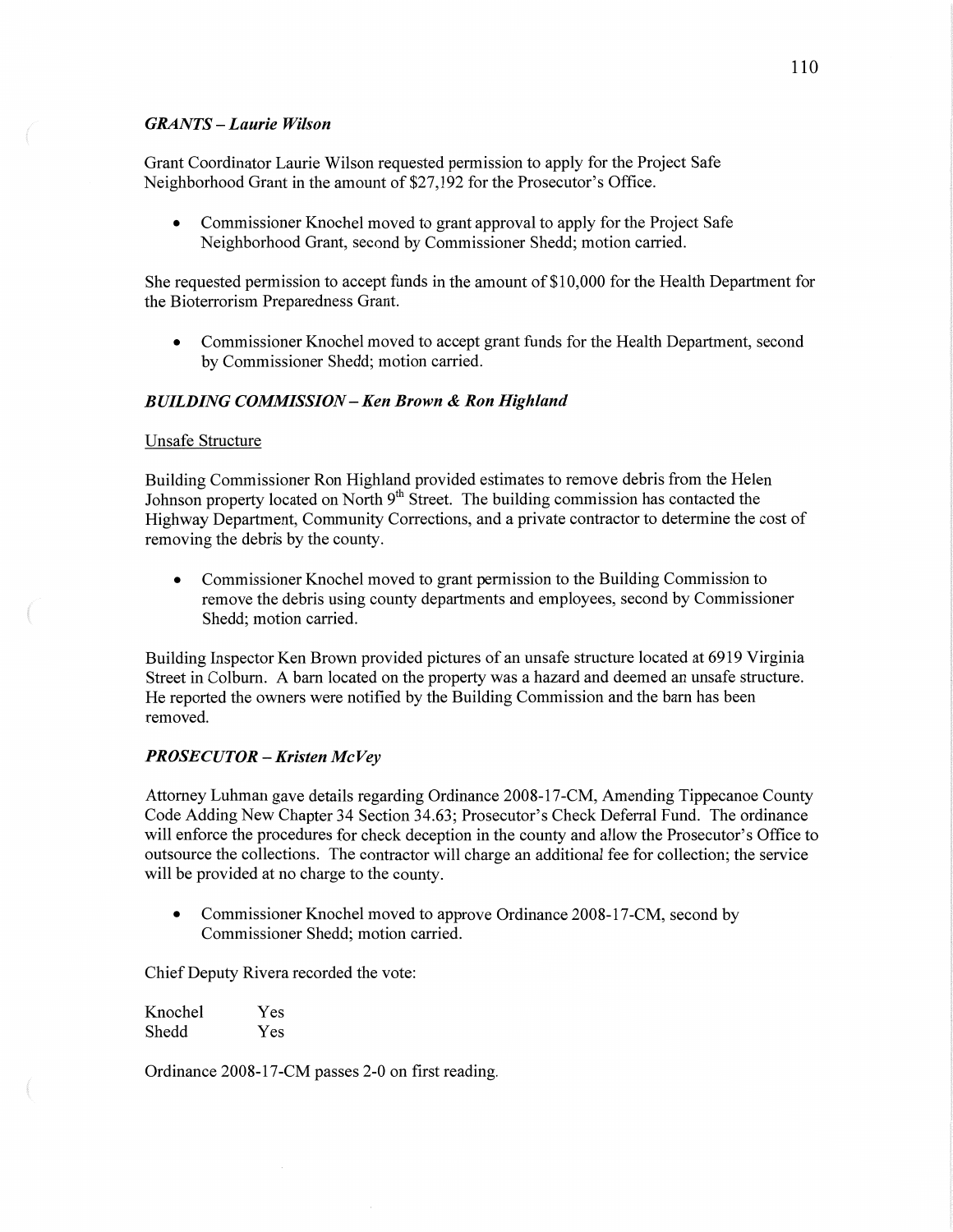## *GRANTS* **—** *Laurie Wilson*

Grant Coordinator Laurie Wilson requested permission to apply for the Project Safe Neighborhood Grant in the amount of \$27,192 for the Prosecutor's Office.

**0** Commissioner Knochel moved to grant approval to apply for the Project Safe Neighborhood Grant, second by Commissioner Shedd; motion carried.

She requested permission to accept funds in the amount of \$10,000 for the Health Department for the Bioterrorism Preparedness Grant.

**0** Commissioner Knochel moved to accept grant funds for the Health Department, second by Commissioner Shedd; motion carried.

## *BUILDING COMMISSION* **—** Ken *Brown &* Ron *Highland*

## Unsafe Structure

 $\overline{a}$ 

Building Commissioner Ron Highland provided estimates to remove debris from the Helen Johnson property located on North  $9<sup>th</sup>$  Street. The building commission has contacted the Highway Department, Community Corrections, and a private contractor to determine the cost of removing the debris by the county.

**0** Commissioner Knochel moved to grant permission to the Building Commission to remove the debris using county departments and employees, second by Commissioner Shedd; motion carried.

Building Inspector Ken Brown provided pictures of an unsafe structure located at 6919 Virginia Street in Colburn. **A** barn located on the property was a hazard and deemed an unsafe structure. He reported the owners were notified by the Building Commission and the barn has been removed.

## PR OSE CU TOR **—** *Kristen* Mc Vey

Attorney Luhman gave details regarding Ordinance 2008-17-CM, Amending Tippecanoe County Code Adding New Chapter 34 Section 34.63; Prosecutor's Check Deferral Fund. The ordinance will enforce the procedures for check deception in the county and allow the Prosecutor's Office to outsource the collections. The contractor will charge an additional fee for collection; the service will be provided at no charge to the county.

Commissioner Knochel moved to approve Ordinance 2008-17-CM, second by Commissioner Shedd; motion carried.

Chief Deputy Rivera recorded the vote:

| Knochel | Yes |
|---------|-----|
| Shedd   | Yes |

Ordinance 2008-17-CM passes 2-0 on first reading.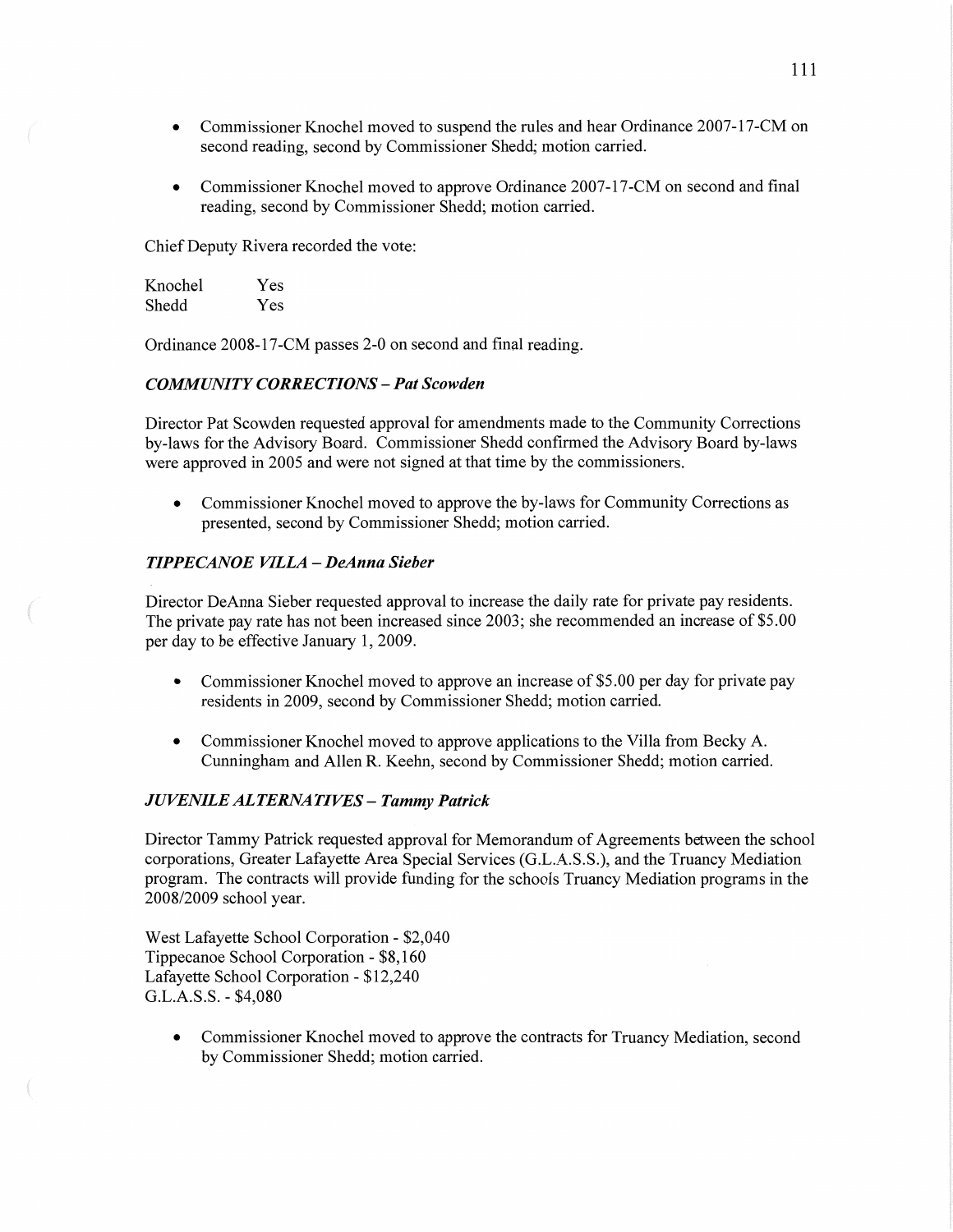- **0** Commissioner Knochel **moved** to **suspend** the rules and hear **Ordinance** 2007—17—CM on second reading, second by Commissioner Shedd; **motion** carried.
- **0** Commissioner Knochel moved to approve Ordinance 2007—17-CM on second and final reading, second by Commissioner Shedd; motion **carried.**

Chief Deputy Rivera recorded the vote:

| Knochel | Yes |
|---------|-----|
| Shedd   | Yes |

Ordinance 2008-17-CM passes 2-0 on second and **final** reading.

## *COMMIUVI* TY *CORRECTIONS* **—** Pat *Scowden*

Director Pat Scowden requested approval for amendments **made** to the Community Corrections by-laws for the Advisory Board. Commissioner Shedd confirmed the Advisory Board by-laws were approved in 2005 and were not signed at that time by the commissioners.

**0** Commissioner Knochel **moved** to approve the by-laws for Community Correcfions as presented, second by Commissioner Shedd; motion carried.

## *TIPPE CANOE VILLA* **—** *DeAnna Sieber*

Director DeAnna Sieber requested approval to increase the daily rate for private pay residents. The private pay rate has not been increased since 2003; she recommended an increase of \$5.00 per day to be effective January 1, 2009.

- Commissioner Knochel moved to approve an increase of \$5.00 per day for private pay residents in 2009, second by Commissioner Shedd; motion carried.
- **0** Commissioner Knochel **moved** to approve applications to the **Villa** from Becky A. **Cunningham** and **Allen** R. Keehn, second by Commissioner Shedd; motion carried.

#### *JUVENILE ALTERNATIVES - Tammy Patrick*

Director Tammy Patrick requested approval for Memorandum of Agreements between the school corporations, Greater Lafayette Area Special Services **(G.L.A.S.S.),** and the Truancy Mediation program. The contracts will provide **funding** for the schools Truancy Mediation programs in the 2008/2009 school year.

West Lafayette School Corporation *-* \$2,040 Tippecanoe School Corporation *-* \$8,160 Lafayette School Corporation **-** \$12,240 G.L.A.S.S. *-* \$4,080

**0** Commissioner Knochel moved to approve the contracts for Truancy Mediation, second by Commissioner Shedd; motion carried.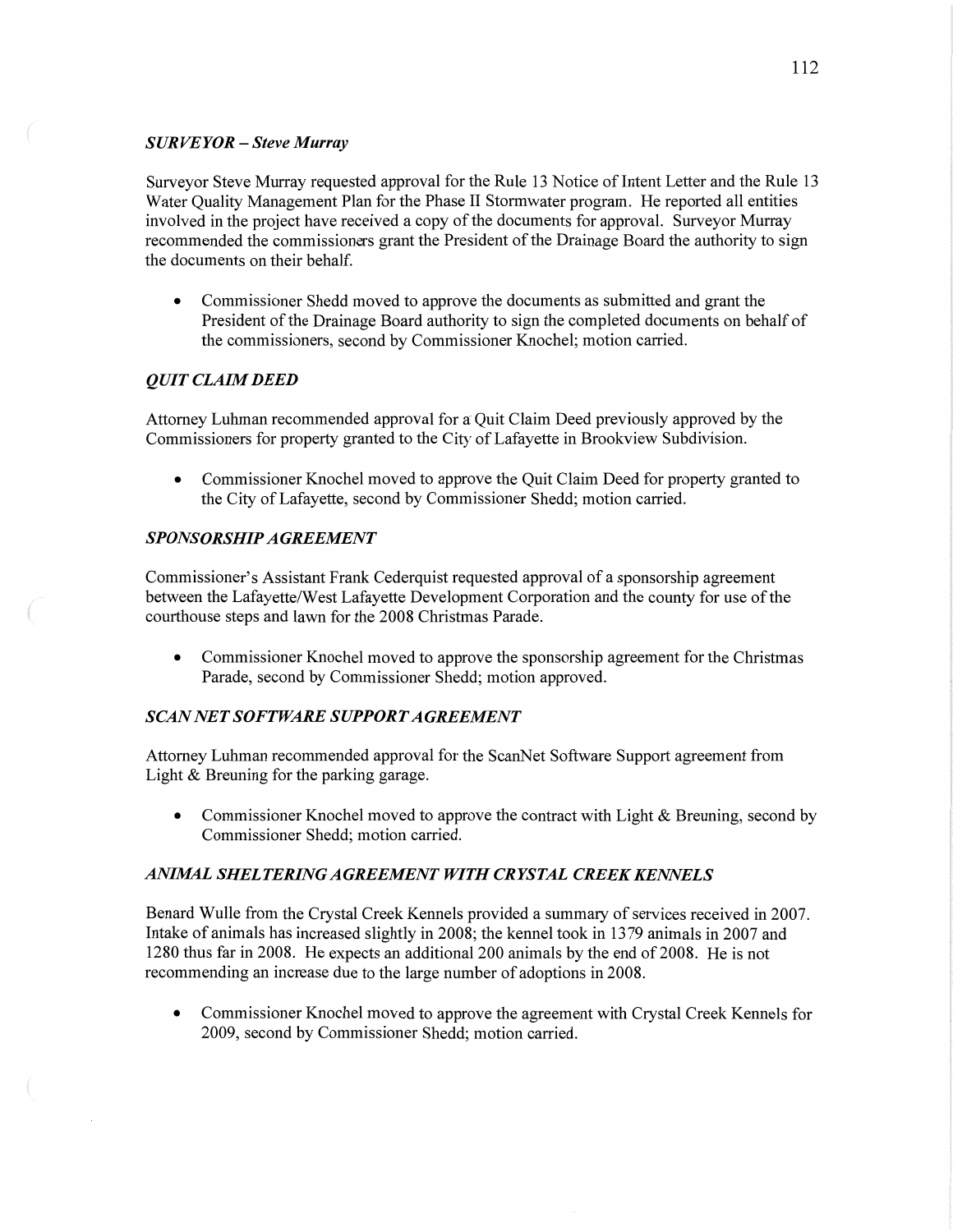# SUR *VEYOR* — *Steve Murray*

Surveyor Steve Murray requested approval for the Rule 13 Notice of Intent Letter and the Rule 13 Water Quality Management **Plan** for the **Phase** II Stormwater program. He reported all entities involved in the project have received a copy of the documents for approval. Surveyor Murray recommended the commissioners grant the President of the Drainage Board the authority to sign the documents on their behalf.

**0** Commissioner Shedd moved to approve the documents as submitted and grant the President of the Drainage Board authority to sign the completed documents on behalf of the commissioners, second by Commissioner Knochel; motion cam'ed.

# *QUIT CLAIM DEED*

Attorney Luhman recommended approval for a' Quit Claim Deed previously approved by the Commissioners for property granted to the City of Lafayette in Brookview Subdivision.

• Commissioner Knochel moved to approve the Quit Claim Deed for property granted to the City of Lafayette, second by Commissioner Shedd; motion carried.

# *SPONSORSHIP A GREEMEN T*

Commissioner's Assistant Frank Cederquist requested approval of **<sup>a</sup>**sponsorship agreement between the Lafayette/West Lafayette Development Corporation and the county for use of the courthouse steps and lawn for the 2008 Christmas Parade.

• Commissioner Knochel moved to approve the sponsorship agreement for the Christmas Parade, second by Commissioner Shedd; motion approved.

# **SCAN NET SOFTWARE SUPPORT AGREEMENT**

**Attorney Luhman** recommended approval for the ScanNet Software **Support** agreement from Light & Breuning for the parking garage.

• Commissioner Knochel moved to approve the contract with Light & Breuning, second by Commissioner Shedd; motion carried.

# *ANIJKAL SHELTERING AGREEMENT WITH CRYSTAL CREEK KENNELS*

Benard Wulle from the Crystal Creek Kennels provided **a** summary of services received in **2007. Intake** of animals has increased slightly in 2008; the kennel took in 1379 animals in 2007 and 1280 thus far in 2008. He expects an additional 200 animals by the end of 2008. He is not recommending an increase due to the large number of adoptions in 2008.

**0** Commissioner Knochel moved to approve the agreement with Crystal Creek Kennels for 2009, second by Commissioner Shedd; **motion** carried.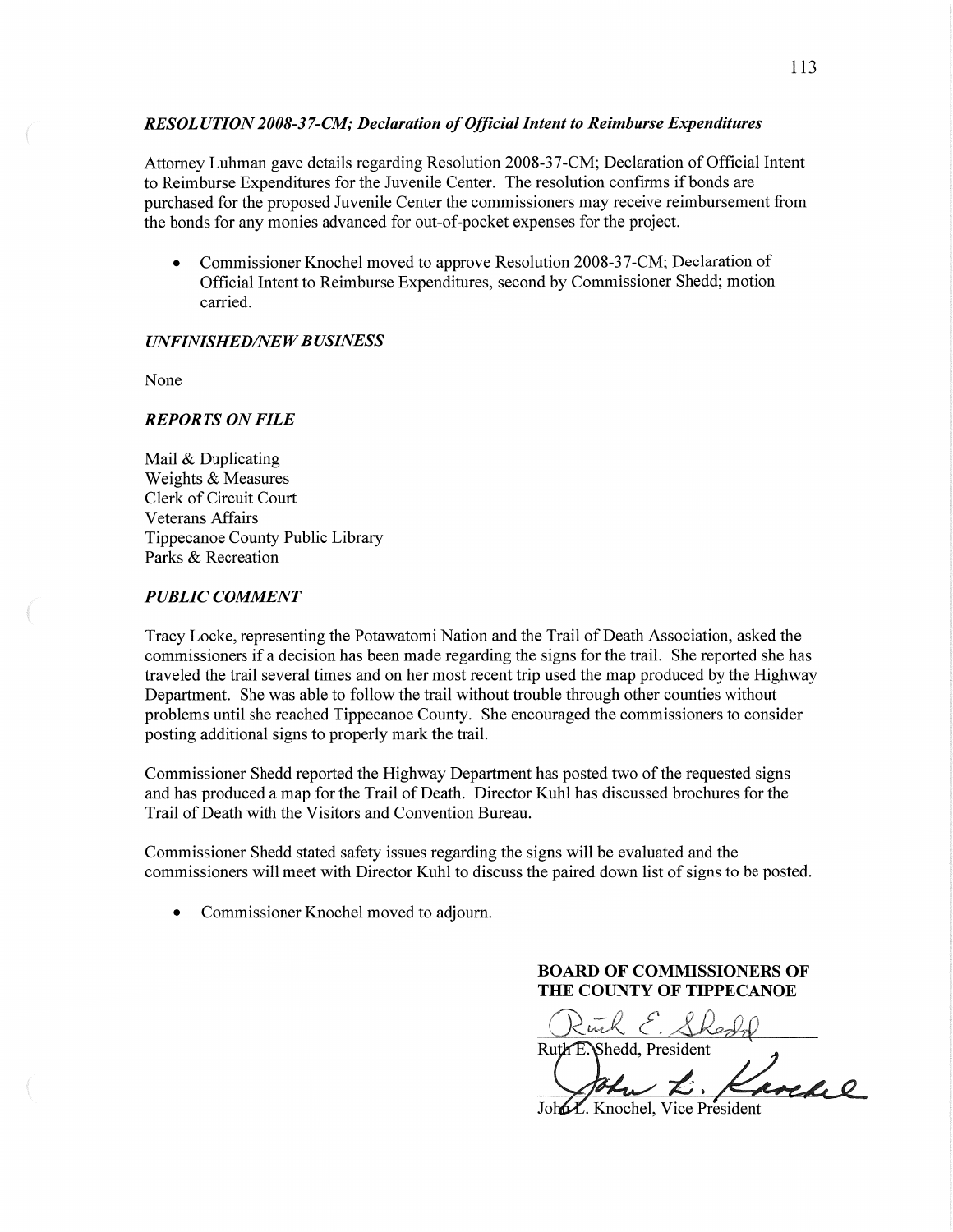## *RESOL UTION 2008-3 7-C1W; Declaration* of *Oflicial Intent* to *Reimburse Expenditures*

Attorney **Luhman** gave details regarding Resolution 2008—3 7-CM; Declaration of Official Intent to Reimburse Expenditures for the Juvenile Center. The resolution confirms if bonds are purchased for the proposed Juvenile Center the commissioners may receive reimbursement fiom the bonds for any monies advanced for out-of—pocket expenses for the project.

• Commissioner Knochel moved to approve Resolution 2008-37-CM; Declaration of Official Intent to Reimburse Expenditures, second by Commissioner Shedd; motion carried.

## *UNFINISHED/NEW BUSINESS*

None

# *REPORTS* ON *FILE*

Mail & Duplicating Weights & Measures Clerk of Circuit Court Veterans Affairs Tippecanoe County Public Library Parks & Recreation

## **PUBLIC COMMENT**

Tracy Locke, representing the Potawatomi Nation and the Trail of Death Association, asked the commissioners if a decision has been made regarding the signs for the trail. She reported she has traveled the trail several times and on her most recent trip used the map produced by the Highway Department. She was able to follow the trail without trouble through other counties without problems until she reached Tippecanoe County. She encouraged the commissioners to consider posting additional signs to properly mark the trail.

Commissioner Shedd reported the Highway Department has posted two of the requested signs and has produced a map for the Trail of Death. Director Kuhl has discussed brochures for the Trail of Death with the Visitors and Convention Bureau.

Commissioner Shedd stated safety issues regarding the signs will be evaluated and the commissioners will meet with Director Kuhl to discuss the paired down list of signs to be posted.

**0** Commissioner Knochel moved to adjourn.

**BOARD OF COMMISSIONERS OF THE COUNTY OF TIPPECANOE** 

Ruck E. Sheald

Ruth E. Shedd, President

 $\boldsymbol{\mathcal{L}}$  ,  $\boldsymbol{\mathcal{A}}$ 

Joh**o** *X*. Knochel, Vice President